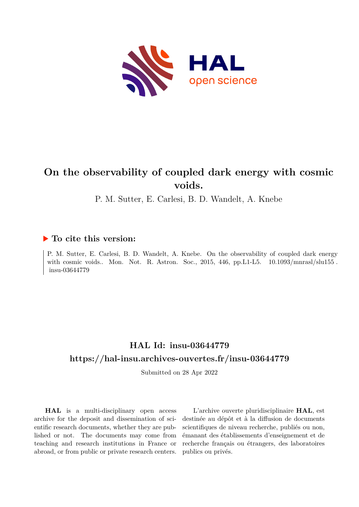

# **On the observability of coupled dark energy with cosmic voids.**

P. M. Sutter, E. Carlesi, B. D. Wandelt, A. Knebe

### **To cite this version:**

P. M. Sutter, E. Carlesi, B. D. Wandelt, A. Knebe. On the observability of coupled dark energy with cosmic voids.. Mon. Not. R. Astron. Soc., 2015, 446, pp. L1-L5.  $10.1093/mnras/slslu155$ . insu-03644779

## **HAL Id: insu-03644779 <https://hal-insu.archives-ouvertes.fr/insu-03644779>**

Submitted on 28 Apr 2022

**HAL** is a multi-disciplinary open access archive for the deposit and dissemination of scientific research documents, whether they are published or not. The documents may come from teaching and research institutions in France or abroad, or from public or private research centers.

L'archive ouverte pluridisciplinaire **HAL**, est destinée au dépôt et à la diffusion de documents scientifiques de niveau recherche, publiés ou non, émanant des établissements d'enseignement et de recherche français ou étrangers, des laboratoires publics ou privés.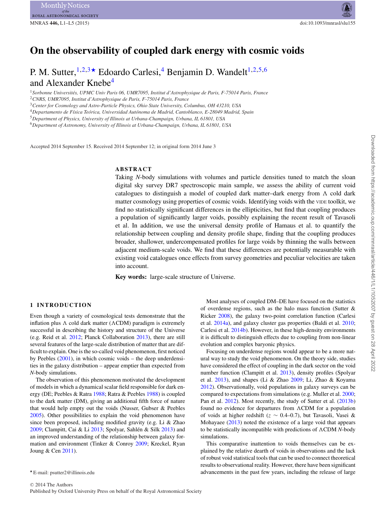## **On the observability of coupled dark energy with cosmic voids**

### P. M. Sutter,  $1,2,3*$  Edoardo Carlesi, <sup>4</sup> Benjamin D. Wandelt<sup>1,2,5,6</sup> and Alexander Knebe<sup>4</sup>

<sup>1</sup>*Sorbonne Universites, UPMC Univ Paris 06, UMR7095, Institut d'Astrophysique de Paris, F-75014 Paris, France ´*

<sup>2</sup>*CNRS, UMR7095, Institut d'Astrophysique de Paris, F-75014 Paris, France* <sup>3</sup>*Center for Cosmology and Astro-Particle Physics, Ohio State University, Columbus, OH 43210, USA*

<sup>4</sup>*Departamento de F´ısica Teorica, Universidad Aut ´ onoma de Madrid, Cantoblanco, E-28049 Madrid, Spain ´*

<sup>5</sup>*Department of Physics, University of Illinois at Urbana-Champaign, Urbana, IL 61801, USA*

<sup>6</sup>*Department of Astronomy, University of Illinois at Urbana-Champaign, Urbana, IL 61801, USA*

Accepted 2014 September 15. Received 2014 September 12; in original form 2014 June 3

#### **ABSTRACT**

Taking *N*-body simulations with volumes and particle densities tuned to match the sloan digital sky survey DR7 spectroscopic main sample, we assess the ability of current void catalogues to distinguish a model of coupled dark matter-dark energy from  $\Lambda$  cold dark<br>matter cosmology using properties of cosmic voids. Identifying voids with the vine toolkit, we matter cosmology using properties of cosmic voids. Identifying voids with the VIDE toolkit, we find no statistically significant differences in the ellipticities, but find that coupling produces a population of significantly larger voids, possibly explaining the recent result of Tavasoli et al. In addition, we use the universal density profile of Hamaus et al. to quantify the relationship between coupling and density profile shape, finding that the coupling produces broader, shallower, undercompensated profiles for large voids by thinning the walls between adjacent medium-scale voids. We find that these differences are potentially measurable with existing void catalogues once effects from survey geometries and peculiar velocities are taken into account.

**Key words:** large-scale structure of Universe.

#### **1 INTRODUCTION**

Even though a variety of cosmological tests demonstrate that the inflation plus  $\Lambda$  cold dark matter ( $\Lambda$ CDM) paradigm is extremely successful in describing the history and structure of the Universe successful in describing the history and structure of the Universe (e.g. Reid et al. 2012; Planck Collaboration 2013), there are still several features of the large-scale distribution of matter that are difficult to explain. One is the so-called void phenomenon, first noticed by Peebles  $(2001)$ , in which cosmic voids – the deep underdensities in the galaxy distribution – appear emptier than expected from *N*-body simulations.

The observation of this phenomenon motivated the development of models in which a dynamical scalar field responsible for dark energy (DE; Peebles & Ratra 1988; Ratra & Peebles 1988) is coupled to the dark matter (DM), giving an additional fifth force of nature that would help empty out the voids (Nusser, Gubser & Peebles 2005). Other possibilities to explain the void phenomenon have since been proposed, including modified gravity (e.g. Li & Zhao 2009; Clampitt, Cai & Li  $2013$ ; Spolyar, Sahlén & Silk  $2013$ ) and an improved understanding of the relationship between galaxy formation and environment (Tinker & Conroy 2009; Kreckel, Ryan Joung & Cen 2011).

Most analyses of coupled DM–DE have focused on the statistics of overdense regions, such as the halo mass function (Sutter & Ricker 2008), the galaxy two-point correlation function (Carlesi et al. 2014a), and galaxy cluster gas properties (Baldi et al. 2010; Carlesi et al. 2014b). However, in these high-density environments it is difficult to distinguish effects due to coupling from non-linear evolution and complex baryonic physics.

Focusing on underdense regions would appear to be a more natural way to study the void phenomenon. On the theory side, studies have considered the effect of coupling in the dark sector on the void number function (Clampitt et al. 2013), density profiles (Spolyar et al. 2013), and shapes (Li & Zhao 2009; Li, Zhao & Koyama 2012). Observationally, void populations in galaxy surveys can be compared to expectations from simulations (e.g. Muller et al. 2000; Pan et al. 2012). Most recently, the study of Sutter et al. (2013b) found no evidence for departures from  $\Lambda$ CDM for a population<br>of voids at higher redshift ( $z \sim 0.4-0.7$ ) but Tayasoli. Vasei & of voids at higher redshift ( $z \sim 0.4{\text{-}}0.7$ ), but Tavasoli, Vasei & Mohayaee (2013) noted the existence of a large void that appears to be statistically incompatible with predictions of  $\Lambda$ CDM *N*-body simulations simulations.

This comparative inattention to voids themselves can be explained by the relative dearth of voids in observations and the lack of robust void statistical tools that can be used to connect theoretical results to observational reality. However, there have been significant advancements in the past few years, including the release of large

E-mail: psutter2@illinois.edu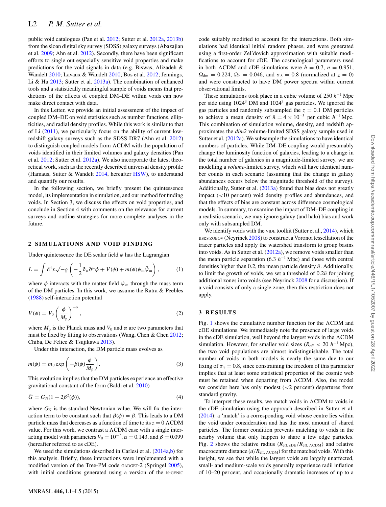public void catalogues (Pan et al. 2012; Sutter et al. 2012a, 2013b) from the sloan digital sky survey (SDSS) galaxy surveys (Abazajian et al. 2009; Ahn et al. 2012). Secondly, there have been significant efforts to single out especially sensitive void properties and make predictions for the void signals in data (e.g. Biswas, Alizadeh & Wandelt 2010; Lavaux & Wandelt 2010; Bos et al. 2012; Jennings, Li & Hu 2013; Sutter et al. 2013a). The combination of enhanced tools and a statistically meaningful sample of voids means that predictions of the effects of coupled DM–DE within voids can now make direct contact with data.

In this Letter, we provide an initial assessment of the impact of coupled DM–DE on void statistics such as number functions, ellipticities, and radial density profiles. While this work is similar to that of Li (2011), we particularly focus on the ability of current lowredshift galaxy surveys such as the SDSS DR7 (Ahn et al. 2012) to distinguish coupled models from ACDM with the population of<br>voids identified in their limited volumes and galaxy densities (Pan voids identified in their limited volumes and galaxy densities (Pan et al. 2012; Sutter et al. 2012a). We also incorporate the latest theoretical work, such as the recently described universal density profile (Hamaus, Sutter & Wandelt 2014, hereafter HSW), to understand and quantify our results.

In the following section, we briefly present the quintessence model, its implementation in simulation, and our method for finding voids. In Section 3, we discuss the effects on void properties, and conclude in Section 4 with comments on the relevance for current surveys and outline strategies for more complete analyses in the future.

#### **2 SIMULATIONS AND VOID FINDING**

Under quintessence the DE scalar field  $\phi$  has the Lagrangian

$$
L = \int d^4x \sqrt{-g} \left( -\frac{1}{2} \partial_\mu \partial^\mu \phi + V(\phi) + m(\phi) \psi_m \bar{\psi}_m \right), \tag{1}
$$

where  $\phi$  interacts with the matter field  $\psi_m$  through the mass term of the DM particles. In this work, we assume the Ratra & Peebles (1988) self-interaction potential

$$
V(\phi) = V_0 \left(\frac{\phi}{M_{\rm p}}\right)^{-\alpha},\tag{2}
$$

where  $M_p$  is the Planck mass and  $V_0$  and  $\alpha$  are two parameters that must be fixed by fitting to observations (Wang, Chen & Chen 2012; Chiba, De Felice & Tsujikawa 2013).

Under this interaction, the DM particle mass evolves as

$$
m(\phi) = m_0 \exp\left(-\beta(\phi)\frac{\phi}{M_{\rm p}}\right).
$$
 (3)

This evolution implies that the DM particles experience an effective gravitational constant of the form (Baldi et al. 2010)

$$
\tilde{G} = G_{\rm N}(1 + 2\beta^2(\phi)),\tag{4}
$$

where  $G_N$  is the standard Newtonian value. We will fix the interaction term to be constant such that  $\beta(\phi) = \beta$ . This leads to a DM particle mass that decreases as a function of time to its  $z = 0$   $\Lambda$ CDM<br>value. For this work, we contrast a  $\Lambda$ CDM case with a single intervalue. For this work, we contrast a  $\Lambda$ CDM case with a single inter-<br>acting model with parameters  $V_c = 10^{-7}$   $\alpha = 0.143$  and  $B = 0.099$ acting model with parameters  $V_0 = 10^{-7}$ ,  $\alpha = 0.143$ , and  $\beta = 0.099$ (hereafter referred to as cDE).

We used the simulations described in Carlesi et al. (2014a,b) for this analysis. Briefly, these interactions were implemented with a modified version of the Tree-PM code GADGET-2 (Springel 2005), with initial conditions generated using a version of the N-GENIC code suitably modified to account for the interactions. Both simulations had identical initial random phases, and were generated using a first-order Zel'dovich approximation with suitable modifications to account for cDE. The cosmological parameters used in both  $\Lambda$ CDM and cDE simulations were  $h = 0.7$ ,  $n = 0.951$ ,<br> $Q_1 = 0.224$ ,  $Q_2 = 0.046$ , and  $\sigma_3 = 0.8$  (normalized at  $z = 0$ )  $\Omega_{\text{dm}} = 0.224$ ,  $\Omega_{\text{b}} = 0.046$ , and  $\sigma_8 = 0.8$  (normalized at  $z = 0$ ) and were constructed to have DM power spectra within current observational limits.

These simulations took place in a cubic volume of 250 *h*−<sup>1</sup> Mpc per side using 10243 DM and 10243 gas particles. We ignored the gas particles and randomly subsampled the  $z = 0.1$  DM particles to achieve a mean density of  $\bar{n} = 4 \times 10^{-3}$  per cubic  $h^{-1}$  Mpc. This combination of simulation volume, density, and redshift approximates the *dim2* volume-limited SDSS galaxy sample used in Sutter et al. (2012a). We subsample the simulations to have identical numbers of particles. While DM–DE coupling would presumably change the luminosity function of galaxies, leading to a change in the total number of galaxies in a magnitude-limited survey, we are modelling a *volume*-limited survey, which will have identical number counts in each scenario (assuming that the change in galaxy abundances occurs below the magnitude threshold of the survey). Additionally, Sutter et al. (2013a) found that bias does not greatly impact (<10 per cent) void density profiles and abundances, and that the effects of bias are constant across difference cosmological models. In summary, to examine the impact of DM–DE coupling in a realistic scenario, we may ignore galaxy (and halo) bias and work only with subsampled DM.

We identify voids with the VIDE toolkit (Sutter et al., 2014), which uses ZOBOV (Neyrinck 2008) to construct a Voronoi tessellation of the tracer particles and apply the watershed transform to group basins into voids. As in Sutter et al. (2012a), we remove voids smaller than the mean particle separation (6.3  $h^{-1}$  Mpc) and those with central densities higher than 0.2, the mean particle density  $\bar{n}$ . Additionally, to limit the growth of voids, we set a threshold of  $0.2\bar{n}$  for joining additional zones into voids (see Neyrinck 2008 for a discussion). If a void consists of only a single zone, then this restriction does not apply.

#### **3 RESULTS**

Fig. 1 shows the cumulative number function for the  $\Lambda$ CDM and  $\Omega$ cDE simulations. We immediately note the presence of large voids in the cDE simulation, well beyond the largest voids in the  $\Lambda$ CDM<br>simulation. However, for smaller void sizes  $(R \le 20 h^{-1}$  Mpc). simulation. However, for smaller void sizes ( $R_{\text{eff}} < 20 h^{-1}$  Mpc), the two void populations are almost indistinguishable. The total number of voids in both models is nearly the same due to our fixing of  $\sigma_8 = 0.8$ , since constraining the freedom of this parameter implies that at least some statistical properties of the cosmic web must be retained when departing from  $\Lambda$ CDM. Also, the model<br>we consider here has only modest (<2 percent) departures from we consider here has only modest (<2 per cent) departures from standard gravity.

To interpret these results, we match voids in  $\Lambda$ CDM to voids in<br>SCDE simulation using the approach described in Sutter et al. the cDE simulation using the approach described in Sutter et al. (2014): a 'match' is a corresponding void whose centre lies within the void under consideration and has the most amount of shared particles. The former condition prevents matching to voids in the nearby volume that only happen to share a few edge particles. Fig. 2 shows the relative radius  $(R_{\text{eff, cDE}}/R_{\text{eff, ACDM}})$  and relative macrocentre distance  $(d/R_{\text{eff, cCDM}})$  for the matched voids. With this macrocentre distance  $(d/R_{\text{eff, ACDM}})$  for the matched voids. With this insight, we see that while the largest voids are largely unaffected. insight, we see that while the largest voids are largely unaffected, small- and medium-scale voids generally experience radii inflation of 10–20 per cent, and occasionally dramatic increases of up to a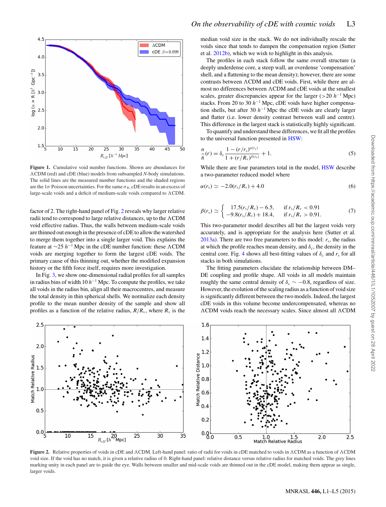

**Figure 1.** Cumulative void number functions. Shown are abundances for The solid lines are the measured number functions and the shaded regions CDM (red) and cDE (blue) models from subsampled *N*-body simulations. are the  $1\sigma$  Poisson uncertainties. For the same  $\sigma_8$ , cDE results in an excess of large-scale voids and a deficit of medium-scale voids compared to  $\Lambda$ CDM.

factor of 2. The right-hand panel of Fig. 2 reveals why larger relative radii tend to correspond to large relative distances, up to the ACDM<br>void effective radius. Thus, the walls between medium-scale voids void effective radius. Thus, the walls between medium-scale voids are thinned out enough in the presence of cDE to allow the watershed to merge them together into a single larger void. This explains the feature at  $\sim$ 25 *h*<sup>−1</sup> Mpc in the cDE number function: these  $\Lambda$ CDM voids are merging together to form the largest cDE voids. The voids are merging together to form the largest cDE voids. The primary cause of this thinning out, whether the modified expansion history or the fifth force itself, requires more investigation.

In Fig. 3, we show one-dimensional radial profiles for all samples in radius bins of width 10 *h*−<sup>1</sup> Mpc. To compute the profiles, we take all voids in the radius bin, align all their macrocentres, and measure the total density in thin spherical shells. We normalize each density profile to the mean number density of the sample and show all profiles as a function of the relative radius,  $R/R_v$ , where  $R_v$  is the median void size in the stack. We do not individually rescale the voids since that tends to dampen the compensation region (Sutter et al. 2012b), which we wish to highlight in this analysis.

The profiles in each stack follow the same overall structure (a deeply underdense core, a steep wall, an overdense 'compensation' shell, and a flattening to the mean density); however, there are some contrasts between ACDM and cDE voids. First, while there are al-<br>most no differences between ACDM and cDE voids at the smallest most no differences between  $\Lambda$ CDM and cDE voids at the smallest<br>scales, greater discrepancies appear for the larger  $(> 20 \; h^{-1} \; \text{Mpc})$ scales, greater discrepancies appear for the larger ( $>$ 20 *h*<sup>-1</sup> Mpc) stacks. From 20 to 30 *h*−<sup>1</sup> Mpc, cDE voids have higher compensation shells, but after 30 *h*−<sup>1</sup> Mpc the cDE voids are clearly larger and flatter (i.e. lower density contrast between wall and centre). This difference in the largest stack is statistically highly significant.

To quantify and understand these differences, we fit all the profiles to the universal function presented in HSW:

$$
\frac{n}{\bar{n}}(r) = \delta_c \frac{1 - (r/r_s)^{\alpha(r_s)}}{1 + (r/R_v)^{\beta(r_s)}} + 1.
$$
\n(5)

While there are four parameters total in the model, HSW describe a two-parameter reduced model where

$$
\alpha(r_{\rm s}) \simeq -2.0(r_{\rm s}/R_{\rm v}) + 4.0\tag{6}
$$

$$
\beta(r_{\rm s}) \simeq \begin{cases} 17.5(r_{\rm s}/R_{\rm v}) - 6.5, & \text{if } r_{\rm s}/R_{\rm v} < 0.91 \\ -9.8(r_{\rm s}/R_{\rm v}) + 18.4, & \text{if } r_{\rm s}/R_{\rm v} > 0.91. \end{cases}
$$
(7)

This two-parameter model describes all but the largest voids very accurately, and is appropriate for the analysis here (Sutter et al. 2013a). There are two free parameters to this model:  $r_s$ , the radius at which the profile reaches mean density, and  $\delta_c$ , the density in the central core. Fig. 4 shows all best-fitting values of  $\delta_c$  and  $r_s$  for all stacks in both simulations.

The fitting parameters elucidate the relationship between DM– DE coupling and profile shape. All voids in all models maintain roughly the same central density of  $\delta_c \sim -0.8$ , regardless of size. However, the evolution of the scaling radius as a function of void size is significantly different between the two models. Indeed, the largest cDE voids in this volume become undercompensated, whereas no  $\Lambda$ CDM voids reach the necessary scales. Since almost all  $\Lambda$ CDM



**Figure 2.** Relative properties of voids in cDE and ACDM. Left-hand panel: ratio of radii for voids in cDE matched to voids in ACDM as a function of ACDM as a function of ACDM as a function of ACDM as a function of ACDM as void size. If the void has no match, it is given a relative radius of 0. Right-hand panel: relative distance versus relative radius for matched voids. The grey lines marking unity in each panel are to guide the eye. Walls between smaller and mid-scale voids are thinned out in the cDE model, making them appear as single, larger voids.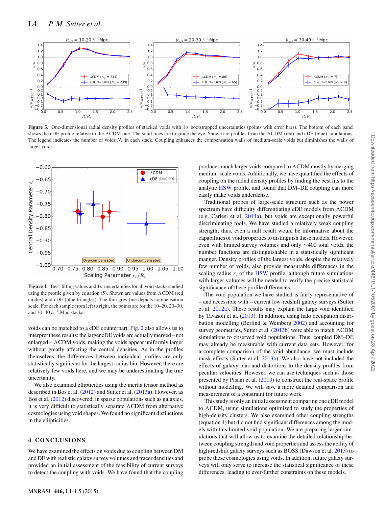

**Figure 3.** One-dimensional radial density profiles of stacked voids with  $1\sigma$  bootstrapped uncertainties (points with error bars). The bottom of each panel shows the cDE profile relative to the  $\Lambda$ CDM one. The solid lines are to guide the eye. Shown are profiles from the  $\Lambda$ CDM (red) and cDE (blue) simulations.<br>The legand indicates the number of voids N, in each stack. Cou The legend indicates the number of voids  $N_v$  in each stack. Coupling enhances the compensation walls of medium-scale voids but diminishes the walls of larger voids.



**Figure 4.** Best-fitting values and  $1\sigma$  uncertainties for all void stacks studied using the profile given by equation  $(5)$ . Shown are values from  $\Lambda$ CDM (red<br>circles) and cDE (blue triangles). The thin grey line depicts compensation circles) and cDE (blue triangles). The thin grey line depicts compensation scale. For each sample from left to right, the points are for the 10–20, 20–30, and 30–40  $h^{-1}$  Mpc stacks.

voids can be matched to a cDE counterpart, Fig. 2 also allows us to interpret these results: the larger cDE voids are actually merged – not enlarged –  $\Lambda$ CDM voids, making the voids appear uniformly larger<br>without greatly affecting the central densities. As in the profiles without greatly affecting the central densities. As in the profiles themselves, the differences between individual profiles are only statistically significant for the largest radius bin. However, there are relatively few voids here, and we may be underestimating the true uncertainty.

We also examined ellipticities using the inertia tensor method as described in Bos et al. (2012) and Sutter et al. (2013a). However, as Bos et al. (2012) discovered, in sparse populations such as galaxies, it is very difficult to statistically separate  $\Lambda$ CDM from alternative<br>cosmologies using void shapes. We found no significant distinctions cosmologies using void shapes. We found no significant distinctions in the ellipticities.

#### **4 CONCLUSIONS**

We have examined the effects on voids due to coupling between DM and DE with realistic galaxy survey volumes and tracer densities and provided an initial assessment of the feasibility of current surveys to detect the coupling with voids. We have found that the coupling

produces much larger voids compared to ACDM mostly by merging<br>medium-scale voids. Additionally, we have quantified the effects of medium-scale voids. Additionally, we have quantified the effects of coupling on the radial density profiles by finding the best fits to the analytic HSW profile, and found that DM–DE coupling can more easily make voids underdense.

Traditional probes of large-scale structure such as the power spectrum have difficulty differentiating cDE models from  $\Lambda$ CDM<br>(e.g. Carlesi et al. 2014a), but voids are exceptionally powerful (e.g. Carlesi et al. 2014a), but voids are exceptionally powerful discriminating tools. We have studied a relatively weak coupling strength; thus, even a null result would be informative about the capabilities of void properties to distinguish these models. However, even with limited survey volumes and only ∼400 total voids, the number functions are distinguishable in a statistically significant manner. Density profiles of the largest voids, despite the relatively few number of voids, also provide measurable differences in the scaling radius  $r<sub>s</sub>$  of the HSW profile, although future simulations with larger volumes will be needed to verify the precise statistical significance of these profile differences.

The void population we have studied is fairly representative of – and accessible with – current low-redshift galaxy surveys (Sutter et al. 2012a). These results may explain the large void identified by Tavasoli et al. (2013). In addition, using halo occupation distribution modelling (Berlind & Weinberg 2002) and accounting for survey geometries, Sutter et al.  $(2013b)$  were able to match  $\Lambda$ CDM<br>simulations to observed void populations. Thus, coupled DM-DE simulations to observed void populations. Thus, coupled DM–DE may already be measurable with current data sets. However, for a complete comparison of the void abundance, we must include mask effects (Sutter et al. 2013b). We also have not included the effects of galaxy bias and distortions to the density profiles from peculiar velocities. However, we can use techniques such as those presented by Pisani et al. (2013) to construct the real-space profile without modelling. We will save a more detailed comparison and measurement of a constraint for future work.

This study is only an initial assessment comparing one cDE model to ACDM, using simulations optimized to study the properties of<br>high-density clusters. We also examined other counling strengths high-density clusters. We also examined other coupling strengths (equation 4) but did not find significant differences among the models with this limited void population. We are preparing larger simulations that will allow us to examine the detailed relationship between coupling strength and void properties and assess the ability of high-redshift galaxy surveys such as BOSS (Dawson et al. 2013) to probe these cosmologies using voids. In addition, future galaxy surveys will only serve to increase the statistical significance of these differences, leading to ever-further constraints on these models.